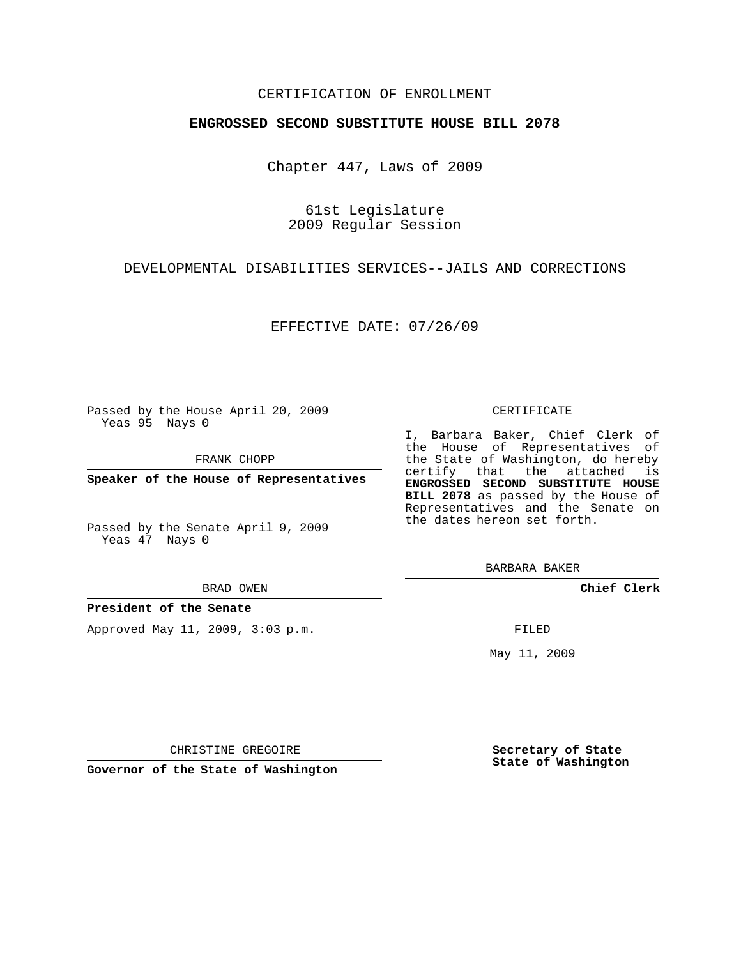## CERTIFICATION OF ENROLLMENT

### **ENGROSSED SECOND SUBSTITUTE HOUSE BILL 2078**

Chapter 447, Laws of 2009

61st Legislature 2009 Regular Session

DEVELOPMENTAL DISABILITIES SERVICES--JAILS AND CORRECTIONS

EFFECTIVE DATE: 07/26/09

Passed by the House April 20, 2009 Yeas 95 Nays 0

FRANK CHOPP

**Speaker of the House of Representatives**

Passed by the Senate April 9, 2009 Yeas 47 Nays 0

**President of the Senate**

Approved May 11, 2009, 3:03 p.m.

#### CERTIFICATE

I, Barbara Baker, Chief Clerk of the House of Representatives of the State of Washington, do hereby certify that the attached is **ENGROSSED SECOND SUBSTITUTE HOUSE BILL 2078** as passed by the House of Representatives and the Senate on the dates hereon set forth.

BARBARA BAKER

**Chief Clerk**

FILED

May 11, 2009

**Secretary of State State of Washington**

CHRISTINE GREGOIRE

**Governor of the State of Washington**

BRAD OWEN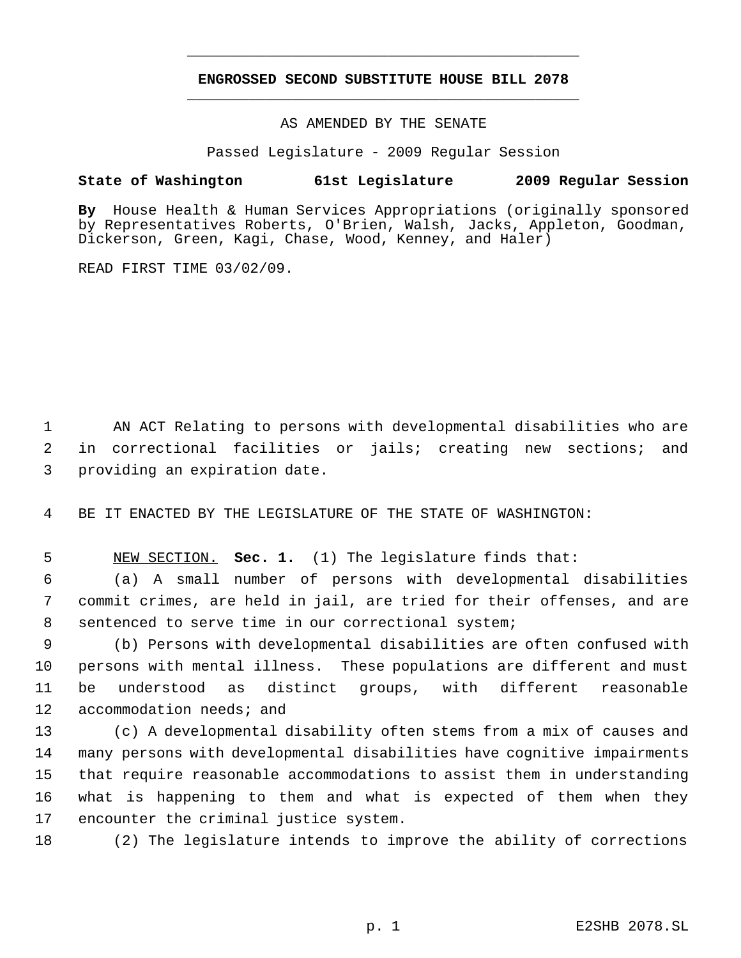# **ENGROSSED SECOND SUBSTITUTE HOUSE BILL 2078** \_\_\_\_\_\_\_\_\_\_\_\_\_\_\_\_\_\_\_\_\_\_\_\_\_\_\_\_\_\_\_\_\_\_\_\_\_\_\_\_\_\_\_\_\_

\_\_\_\_\_\_\_\_\_\_\_\_\_\_\_\_\_\_\_\_\_\_\_\_\_\_\_\_\_\_\_\_\_\_\_\_\_\_\_\_\_\_\_\_\_

AS AMENDED BY THE SENATE

Passed Legislature - 2009 Regular Session

## **State of Washington 61st Legislature 2009 Regular Session**

**By** House Health & Human Services Appropriations (originally sponsored by Representatives Roberts, O'Brien, Walsh, Jacks, Appleton, Goodman, Dickerson, Green, Kagi, Chase, Wood, Kenney, and Haler)

READ FIRST TIME 03/02/09.

 AN ACT Relating to persons with developmental disabilities who are in correctional facilities or jails; creating new sections; and providing an expiration date.

BE IT ENACTED BY THE LEGISLATURE OF THE STATE OF WASHINGTON:

NEW SECTION. **Sec. 1.** (1) The legislature finds that:

 (a) A small number of persons with developmental disabilities commit crimes, are held in jail, are tried for their offenses, and are sentenced to serve time in our correctional system;

 (b) Persons with developmental disabilities are often confused with persons with mental illness. These populations are different and must be understood as distinct groups, with different reasonable accommodation needs; and

 (c) A developmental disability often stems from a mix of causes and many persons with developmental disabilities have cognitive impairments that require reasonable accommodations to assist them in understanding what is happening to them and what is expected of them when they encounter the criminal justice system.

(2) The legislature intends to improve the ability of corrections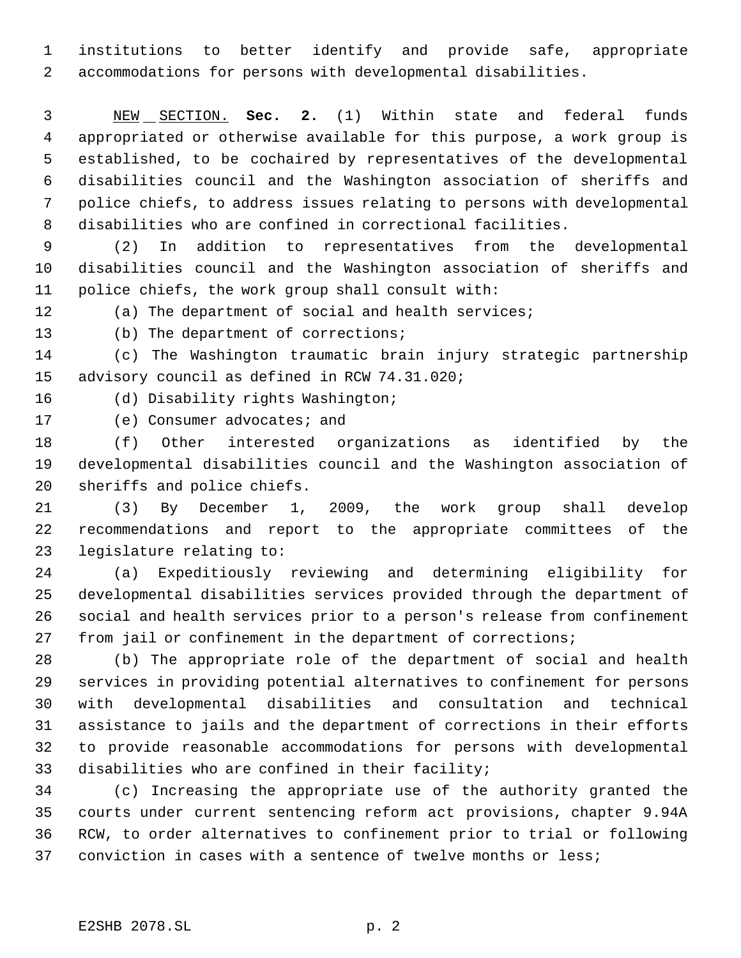institutions to better identify and provide safe, appropriate accommodations for persons with developmental disabilities.

 NEW SECTION. **Sec. 2.** (1) Within state and federal funds appropriated or otherwise available for this purpose, a work group is established, to be cochaired by representatives of the developmental disabilities council and the Washington association of sheriffs and police chiefs, to address issues relating to persons with developmental disabilities who are confined in correctional facilities.

 (2) In addition to representatives from the developmental disabilities council and the Washington association of sheriffs and police chiefs, the work group shall consult with:

(a) The department of social and health services;

(b) The department of corrections;

 (c) The Washington traumatic brain injury strategic partnership advisory council as defined in RCW 74.31.020;

(d) Disability rights Washington;

17 (e) Consumer advocates; and

 (f) Other interested organizations as identified by the developmental disabilities council and the Washington association of sheriffs and police chiefs.

 (3) By December 1, 2009, the work group shall develop recommendations and report to the appropriate committees of the legislature relating to:

 (a) Expeditiously reviewing and determining eligibility for developmental disabilities services provided through the department of social and health services prior to a person's release from confinement from jail or confinement in the department of corrections;

 (b) The appropriate role of the department of social and health services in providing potential alternatives to confinement for persons with developmental disabilities and consultation and technical assistance to jails and the department of corrections in their efforts to provide reasonable accommodations for persons with developmental disabilities who are confined in their facility;

 (c) Increasing the appropriate use of the authority granted the courts under current sentencing reform act provisions, chapter 9.94A RCW, to order alternatives to confinement prior to trial or following conviction in cases with a sentence of twelve months or less;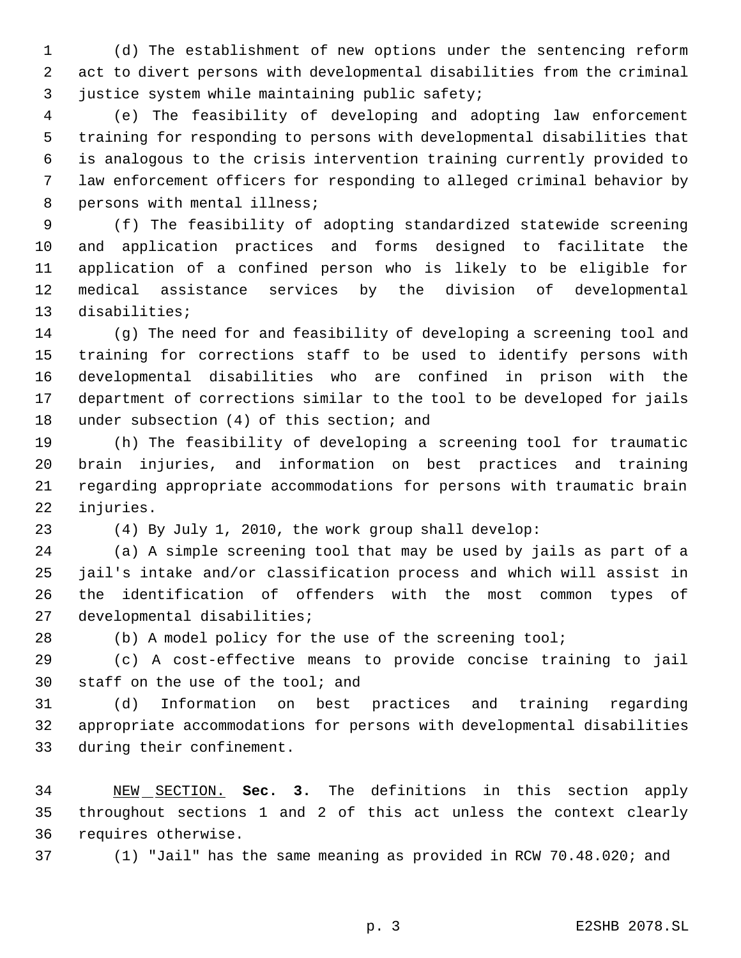(d) The establishment of new options under the sentencing reform act to divert persons with developmental disabilities from the criminal 3 justice system while maintaining public safety;

 (e) The feasibility of developing and adopting law enforcement training for responding to persons with developmental disabilities that is analogous to the crisis intervention training currently provided to law enforcement officers for responding to alleged criminal behavior by 8 persons with mental illness;

 (f) The feasibility of adopting standardized statewide screening and application practices and forms designed to facilitate the application of a confined person who is likely to be eligible for medical assistance services by the division of developmental disabilities;

 (g) The need for and feasibility of developing a screening tool and training for corrections staff to be used to identify persons with developmental disabilities who are confined in prison with the department of corrections similar to the tool to be developed for jails 18 under subsection (4) of this section; and

 (h) The feasibility of developing a screening tool for traumatic brain injuries, and information on best practices and training regarding appropriate accommodations for persons with traumatic brain injuries.

(4) By July 1, 2010, the work group shall develop:

 (a) A simple screening tool that may be used by jails as part of a jail's intake and/or classification process and which will assist in the identification of offenders with the most common types of developmental disabilities;

28 (b) A model policy for the use of the screening tool;

 (c) A cost-effective means to provide concise training to jail staff on the use of the tool; and

 (d) Information on best practices and training regarding appropriate accommodations for persons with developmental disabilities during their confinement.

 NEW SECTION. **Sec. 3.** The definitions in this section apply throughout sections 1 and 2 of this act unless the context clearly requires otherwise.

(1) "Jail" has the same meaning as provided in RCW 70.48.020; and